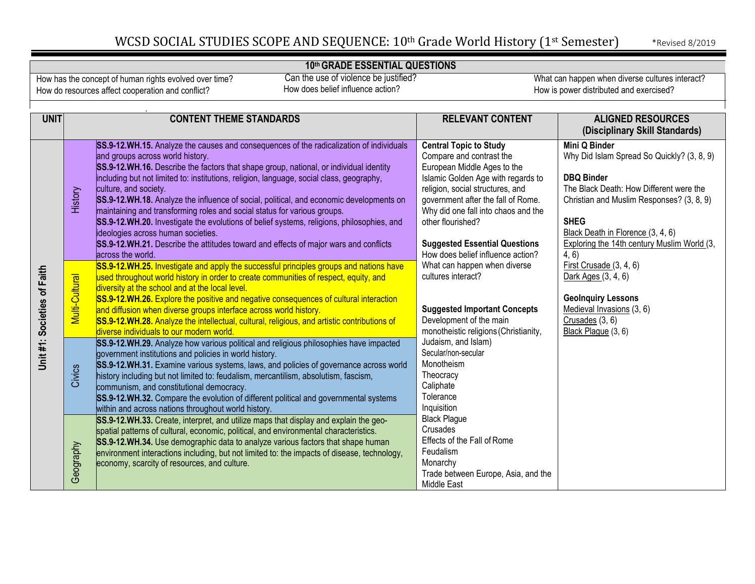#### **10th GRADE ESSENTIAL QUESTIONS**

How has the concept of human rights evolved over time? How do resources affect cooperation and conflict?

 Can the use of violence be justified? How does belief influence action?

| <b>UNIT</b>                 |                | <b>CONTENT THEME STANDARDS</b>                                                                                                                                                                                                                                                                                                                                                                                                                                                                                                                                                                                                                                                                                                               | <b>RELEVANT CONTENT</b>                                                                                                                                                                                                                                                                                      | <b>ALIGNED RESOURCES</b><br>(Disciplinary Skill Standards)                                                                                                                                                                                                                  |
|-----------------------------|----------------|----------------------------------------------------------------------------------------------------------------------------------------------------------------------------------------------------------------------------------------------------------------------------------------------------------------------------------------------------------------------------------------------------------------------------------------------------------------------------------------------------------------------------------------------------------------------------------------------------------------------------------------------------------------------------------------------------------------------------------------------|--------------------------------------------------------------------------------------------------------------------------------------------------------------------------------------------------------------------------------------------------------------------------------------------------------------|-----------------------------------------------------------------------------------------------------------------------------------------------------------------------------------------------------------------------------------------------------------------------------|
|                             | History        | SS.9-12.WH.15. Analyze the causes and consequences of the radicalization of individuals<br>and groups across world history.<br>SS.9-12.WH.16. Describe the factors that shape group, national, or individual identity<br>including but not limited to: institutions, religion, language, social class, geography,<br>culture, and society.<br>SS.9-12.WH.18. Analyze the influence of social, political, and economic developments on<br>maintaining and transforming roles and social status for various groups.<br>SS.9-12.WH.20. Investigate the evolutions of belief systems, religions, philosophies, and<br>ideologies across human societies.<br>SS.9-12.WH.21. Describe the attitudes toward and effects of major wars and conflicts | <b>Central Topic to Study</b><br>Compare and contrast the<br>European Middle Ages to the<br>Islamic Golden Age with regards to<br>religion, social structures, and<br>government after the fall of Rome.<br>Why did one fall into chaos and the<br>other flourished?<br><b>Suggested Essential Questions</b> | Mini Q Binder<br>Why Did Islam Spread So Quickly? (3, 8, 9)<br><b>DBQ Binder</b><br>The Black Death: How Different were the<br>Christian and Muslim Responses? (3, 8, 9)<br><b>SHEG</b><br>Black Death in Florence (3, 4, 6)<br>Exploring the 14th century Muslim World (3, |
| Unit #1: Societies of Faith | Multi-Cultural | across the world.<br>SS.9-12.WH.25. Investigate and apply the successful principles groups and nations have<br>used throughout world history in order to create communities of respect, equity, and<br>diversity at the school and at the local level.<br>SS.9-12.WH.26. Explore the positive and negative consequences of cultural interaction<br>and diffusion when diverse groups interface across world history.<br>SS.9-12.WH.28. Analyze the intellectual, cultural, religious, and artistic contributions of<br>diverse individuals to our modern world.                                                                                                                                                                              | How does belief influence action?<br>What can happen when diverse<br>cultures interact?<br><b>Suggested Important Concepts</b><br>Development of the main<br>monotheistic religions (Christianity,                                                                                                           | 4, 6)<br>First Crusade (3, 4, 6)<br>Dark Ages (3, 4, 6)<br><b>GeoInquiry Lessons</b><br>Medieval Invasions (3, 6)<br>Crusades (3, 6)<br>Black Plague (3, 6)                                                                                                                 |
|                             | Civics         | SS.9-12.WH.29. Analyze how various political and religious philosophies have impacted<br>government institutions and policies in world history.<br>SS.9-12.WH.31. Examine various systems, laws, and policies of governance across world<br>history including but not limited to: feudalism, mercantilism, absolutism, fascism,<br>communism, and constitutional democracy.<br>SS.9-12.WH.32. Compare the evolution of different political and governmental systems<br>within and across nations throughout world history.                                                                                                                                                                                                                   | Judaism, and Islam)<br>Secular/non-secular<br>Monotheism<br>Theocracy<br>Caliphate<br>Tolerance<br>Inquisition                                                                                                                                                                                               |                                                                                                                                                                                                                                                                             |
|                             | Geography      | SS.9-12.WH.33. Create, interpret, and utilize maps that display and explain the geo-<br>spatial patterns of cultural, economic, political, and environmental characteristics.<br>SS.9-12.WH.34. Use demographic data to analyze various factors that shape human<br>environment interactions including, but not limited to: the impacts of disease, technology,<br>economy, scarcity of resources, and culture.                                                                                                                                                                                                                                                                                                                              | <b>Black Plague</b><br>Crusades<br>Effects of the Fall of Rome<br>Feudalism<br>Monarchy<br>Trade between Europe, Asia, and the<br>Middle East                                                                                                                                                                |                                                                                                                                                                                                                                                                             |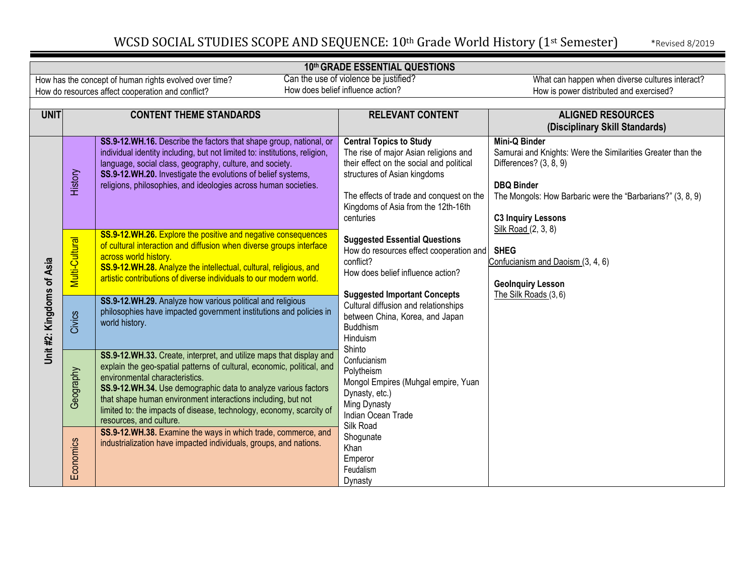### **10th GRADE ESSENTIAL QUESTIONS**

| How has the concept of human rights evolved over time? |
|--------------------------------------------------------|
| How do resources affect cooperation and conflict?      |

 Can the use of violence be justified? How does belief influence action?

| <b>UNIT</b>              | <b>CONTENT THEME STANDARDS</b> |                                                                                                                                                                                                                                                                                                                                                                                                                                                                                       | <b>RELEVANT CONTENT</b>                                                                                                                                                                                                                             | <b>ALIGNED RESOURCES</b>                                                                                                                                                                                                      |
|--------------------------|--------------------------------|---------------------------------------------------------------------------------------------------------------------------------------------------------------------------------------------------------------------------------------------------------------------------------------------------------------------------------------------------------------------------------------------------------------------------------------------------------------------------------------|-----------------------------------------------------------------------------------------------------------------------------------------------------------------------------------------------------------------------------------------------------|-------------------------------------------------------------------------------------------------------------------------------------------------------------------------------------------------------------------------------|
|                          |                                |                                                                                                                                                                                                                                                                                                                                                                                                                                                                                       |                                                                                                                                                                                                                                                     | (Disciplinary Skill Standards)                                                                                                                                                                                                |
|                          | History                        | SS.9-12.WH.16. Describe the factors that shape group, national, or<br>individual identity including, but not limited to: institutions, religion,<br>language, social class, geography, culture, and society.<br>SS.9-12.WH.20. Investigate the evolutions of belief systems,<br>religions, philosophies, and ideologies across human societies.                                                                                                                                       | <b>Central Topics to Study</b><br>The rise of major Asian religions and<br>their effect on the social and political<br>structures of Asian kingdoms<br>The effects of trade and conquest on the<br>Kingdoms of Asia from the 12th-16th<br>centuries | <b>Mini-Q Binder</b><br>Samurai and Knights: Were the Similarities Greater than the<br>Differences? (3, 8, 9)<br><b>DBQ Binder</b><br>The Mongols: How Barbaric were the "Barbarians?" (3, 8, 9)<br><b>C3 Inquiry Lessons</b> |
| Unit#2: Kingdoms of Asia | Multi-Cultural                 | SS.9-12.WH.26. Explore the positive and negative consequences<br>of cultural interaction and diffusion when diverse groups interface<br>across world history.<br>SS.9-12.WH.28. Analyze the intellectual, cultural, religious, and<br>artistic contributions of diverse individuals to our modern world.<br>SS.9-12.WH.29. Analyze how various political and religious                                                                                                                | <b>Suggested Essential Questions</b><br>How do resources effect cooperation and<br>conflict?<br>How does belief influence action?<br><b>Suggested Important Concepts</b><br>Cultural diffusion and relationships                                    | Silk Road (2, 3, 8)<br><b>SHEG</b><br>Confucianism and Daoism (3, 4, 6)<br><b>GeoInquiry Lesson</b><br>The Silk Roads (3,6)                                                                                                   |
|                          | Civics                         | philosophies have impacted government institutions and policies in<br>world history.                                                                                                                                                                                                                                                                                                                                                                                                  | between China, Korea, and Japan<br><b>Buddhism</b><br>Hinduism<br>Shinto                                                                                                                                                                            |                                                                                                                                                                                                                               |
|                          | Geography                      | SS.9-12.WH.33. Create, interpret, and utilize maps that display and<br>explain the geo-spatial patterns of cultural, economic, political, and<br>environmental characteristics.<br>SS.9-12.WH.34. Use demographic data to analyze various factors<br>that shape human environment interactions including, but not<br>limited to: the impacts of disease, technology, economy, scarcity of<br>resources, and culture.<br>SS.9-12.WH.38. Examine the ways in which trade, commerce, and | Confucianism<br>Polytheism<br>Mongol Empires (Muhgal empire, Yuan<br>Dynasty, etc.)<br>Ming Dynasty<br>Indian Ocean Trade<br>Silk Road                                                                                                              |                                                                                                                                                                                                                               |
|                          | Economics                      | industrialization have impacted individuals, groups, and nations.                                                                                                                                                                                                                                                                                                                                                                                                                     | Shogunate<br>Khan<br>Emperor<br>Feudalism<br>Dynasty                                                                                                                                                                                                |                                                                                                                                                                                                                               |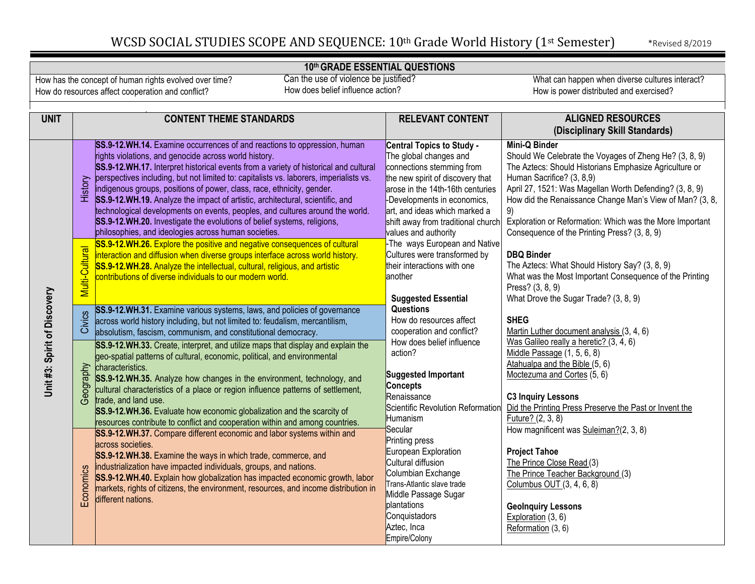**10th GRADE ESSENTIAL QUESTIONS**

How has the concept of human rights evolved over time? How do resources affect cooperation and conflict?

 Can the use of violence be justified? How does belief influence action?

| <b>UNIT</b>                 | <b>CONTENT THEME STANDARDS</b>                                                                                                                                 | <b>RELEVANT CONTENT</b>            | <b>ALIGNED RESOURCES</b>                                      |
|-----------------------------|----------------------------------------------------------------------------------------------------------------------------------------------------------------|------------------------------------|---------------------------------------------------------------|
|                             |                                                                                                                                                                |                                    | (Disciplinary Skill Standards)                                |
|                             | SS.9-12.WH.14. Examine occurrences of and reactions to oppression, human                                                                                       | <b>Central Topics to Study -</b>   | Mini-Q Binder                                                 |
|                             | rights violations, and genocide across world history.                                                                                                          | The global changes and             | Should We Celebrate the Voyages of Zheng He? (3, 8, 9)        |
|                             | SS.9-12.WH.17. Interpret historical events from a variety of historical and cultural                                                                           | connections stemming from          | The Aztecs: Should Historians Emphasize Agriculture or        |
|                             | perspectives including, but not limited to: capitalists vs. laborers, imperialists vs.                                                                         | the new spirit of discovery that   | Human Sacrifice? (3, 8,9)                                     |
|                             | History<br>indigenous groups, positions of power, class, race, ethnicity, gender.                                                                              | arose in the 14th-16th centuries   | April 27, 1521: Was Magellan Worth Defending? (3, 8, 9)       |
|                             | SS.9-12.WH.19. Analyze the impact of artistic, architectural, scientific, and                                                                                  | -Developments in economics,        | How did the Renaissance Change Man's View of Man? (3, 8,      |
|                             | technological developments on events, peoples, and cultures around the world.                                                                                  | art, and ideas which marked a      | 9)                                                            |
|                             | SS.9-12.WH.20. Investigate the evolutions of belief systems, religions,                                                                                        | shift away from traditional church | Exploration or Reformation: Which was the More Important      |
|                             | philosophies, and ideologies across human societies.                                                                                                           | values and authority               | Consequence of the Printing Press? (3, 8, 9)                  |
|                             | SS.9-12.WH.26. Explore the positive and negative consequences of cultural                                                                                      | -The ways European and Native      |                                                               |
|                             | interaction and diffusion when diverse groups interface across world history.                                                                                  | Cultures were transformed by       | <b>DBQ Binder</b>                                             |
|                             | SS.9-12.WH.28. Analyze the intellectual, cultural, religious, and artistic                                                                                     | their interactions with one        | The Aztecs: What Should History Say? (3, 8, 9)                |
|                             | contributions of diverse individuals to our modern world.                                                                                                      | another                            | What was the Most Important Consequence of the Printing       |
|                             | Multi-Cultural                                                                                                                                                 |                                    | Press? (3, 8, 9)                                              |
| Unit#3: Spirit of Discovery |                                                                                                                                                                | <b>Suggested Essential</b>         | What Drove the Sugar Trade? (3, 8, 9)                         |
|                             | SS.9-12.WH.31. Examine various systems, laws, and policies of governance                                                                                       | <b>Questions</b>                   |                                                               |
|                             | Civics<br>across world history including, but not limited to: feudalism, mercantilism,                                                                         | How do resources affect            | <b>SHEG</b>                                                   |
|                             | absolutism, fascism, communism, and constitutional democracy.                                                                                                  | cooperation and conflict?          | Martin Luther document analysis (3, 4, 6)                     |
|                             | SS.9-12.WH.33. Create, interpret, and utilize maps that display and explain the                                                                                | How does belief influence          | Was Galileo really a heretic? (3, 4, 6)                       |
|                             | geo-spatial patterns of cultural, economic, political, and environmental                                                                                       | action?                            | Middle Passage (1, 5, 6, 8)                                   |
|                             | Geography<br>characteristics.                                                                                                                                  | <b>Suggested Important</b>         | Atahualpa and the Bible (5, 6)<br>Moctezuma and Cortes (5, 6) |
|                             | SS.9-12.WH.35. Analyze how changes in the environment, technology, and                                                                                         | <b>Concepts</b>                    |                                                               |
|                             | cultural characteristics of a place or region influence patterns of settlement,                                                                                | Renaissance                        | <b>C3 Inquiry Lessons</b>                                     |
|                             | trade, and land use.                                                                                                                                           | Scientific Revolution Reformation  | Did the Printing Press Preserve the Past or Invent the        |
|                             | SS.9-12.WH.36. Evaluate how economic globalization and the scarcity of                                                                                         | Humanism                           | Future? (2, 3, 8)                                             |
|                             | resources contribute to conflict and cooperation within and among countries.                                                                                   | Secular                            | How magnificent was Suleiman?(2, 3, 8)                        |
|                             | SS.9-12.WH.37. Compare different economic and labor systems within and                                                                                         | <b>Printing press</b>              |                                                               |
|                             | across societies.                                                                                                                                              | European Exploration               | <b>Project Tahoe</b>                                          |
|                             | SS.9-12.WH.38. Examine the ways in which trade, commerce, and                                                                                                  | Cultural diffusion                 | The Prince Close Read (3)                                     |
|                             | industrialization have impacted individuals, groups, and nations.<br>Economics<br>SS.9-12.WH.40. Explain how globalization has impacted economic growth, labor | Columbian Exchange                 | The Prince Teacher Background (3)                             |
|                             | markets, rights of citizens, the environment, resources, and income distribution in                                                                            | Trans-Atlantic slave trade         | Columbus OUT (3, 4, 6, 8)                                     |
|                             | different nations.                                                                                                                                             | Middle Passage Sugar               |                                                               |
|                             |                                                                                                                                                                | plantations                        | <b>Geolnquiry Lessons</b>                                     |
|                             |                                                                                                                                                                | Conquistadors                      | Exploration (3, 6)                                            |
|                             |                                                                                                                                                                | Aztec, Inca                        | Reformation (3, 6)                                            |
|                             |                                                                                                                                                                | Empire/Colony                      |                                                               |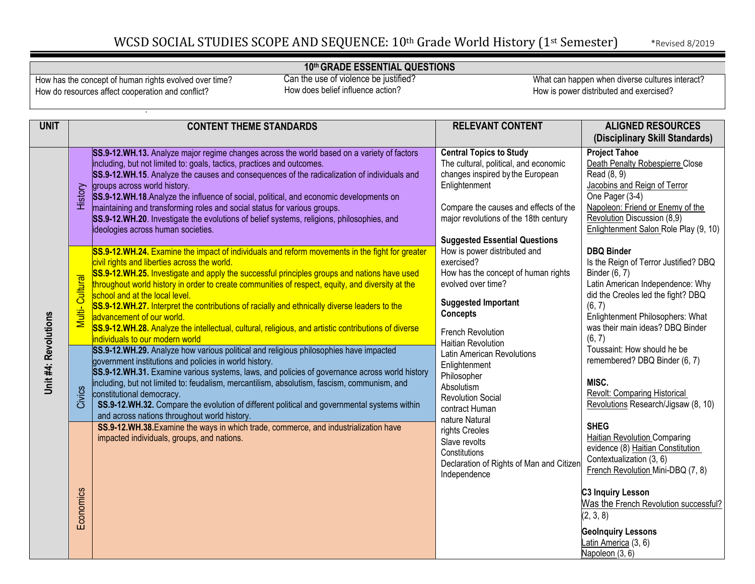### **10th GRADE ESSENTIAL QUESTIONS**

How has the concept of human rights evolved over time? How do resources affect cooperation and conflict?

 Can the use of violence be justified? How does belief influence action?

| <b>UNIT</b>          | <b>CONTENT THEME STANDARDS</b>                                                                                                                                                                                                                                                                                                                                                                                                                                                                                                                                                                                                                                                                                                                                                                                                                                                                                                                                                                                                                                   | <b>RELEVANT CONTENT</b>                                                                                                                                                                                                                                                                | <b>ALIGNED RESOURCES</b><br>(Disciplinary Skill Standards)                                                                                                                                                                                                                                                                                                 |
|----------------------|------------------------------------------------------------------------------------------------------------------------------------------------------------------------------------------------------------------------------------------------------------------------------------------------------------------------------------------------------------------------------------------------------------------------------------------------------------------------------------------------------------------------------------------------------------------------------------------------------------------------------------------------------------------------------------------------------------------------------------------------------------------------------------------------------------------------------------------------------------------------------------------------------------------------------------------------------------------------------------------------------------------------------------------------------------------|----------------------------------------------------------------------------------------------------------------------------------------------------------------------------------------------------------------------------------------------------------------------------------------|------------------------------------------------------------------------------------------------------------------------------------------------------------------------------------------------------------------------------------------------------------------------------------------------------------------------------------------------------------|
|                      | SS.9-12.WH.13. Analyze major regime changes across the world based on a variety of factors<br>including, but not limited to: goals, tactics, practices and outcomes.<br>SS.9-12.WH.15. Analyze the causes and consequences of the radicalization of individuals and<br>groups across world history.<br>History<br>SS.9-12.WH.18. Analyze the influence of social, political, and economic developments on<br>maintaining and transforming roles and social status for various groups.<br>SS.9-12.WH.20. Investigate the evolutions of belief systems, religions, philosophies, and<br>ideologies across human societies.                                                                                                                                                                                                                                                                                                                                                                                                                                         | <b>Central Topics to Study</b><br>The cultural, political, and economic<br>changes inspired by the European<br>Enlightenment<br>Compare the causes and effects of the<br>major revolutions of the 18th century<br><b>Suggested Essential Questions</b>                                 | <b>Project Tahoe</b><br>Death Penalty Robespierre Close<br>Read (8, 9)<br>Jacobins and Reign of Terror<br>One Pager (3-4)<br>Napoleon: Friend or Enemy of the<br>Revolution Discussion (8,9)<br>Enlightenment Salon Role Play (9, 10)                                                                                                                      |
| Unit #4: Revolutions | SS.9-12.WH.24. Examine the impact of individuals and reform movements in the fight for greater<br>civil rights and liberties across the world.<br>SS.9-12.WH.25. Investigate and apply the successful principles groups and nations have used<br>Cultural<br>throughout world history in order to create communities of respect, equity, and diversity at the<br>school and at the local level.<br>SS.9-12.WH.27. Interpret the contributions of racially and ethnically diverse leaders to the<br>Multi-<br>advancement of our world.<br>SS.9-12.WH.28. Analyze the intellectual, cultural, religious, and artistic contributions of diverse<br>individuals to our modern world<br>SS.9-12.WH.29. Analyze how various political and religious philosophies have impacted<br>government institutions and policies in world history.<br>SS.9-12.WH.31. Examine various systems, laws, and policies of governance across world history<br>including, but not limited to: feudalism, mercantilism, absolutism, fascism, communism, and<br>constitutional democracy. | How is power distributed and<br>exercised?<br>How has the concept of human rights<br>evolved over time?<br><b>Suggested Important</b><br><b>Concepts</b><br>French Revolution<br><b>Haitian Revolution</b><br>Latin American Revolutions<br>Enlightenment<br>Philosopher<br>Absolutism | <b>DBQ Binder</b><br>Is the Reign of Terror Justified? DBQ<br>Binder (6, 7)<br>Latin American Independence: Why<br>did the Creoles led the fight? DBQ<br>(6, 7)<br>Enlightenment Philosophers: What<br>was their main ideas? DBQ Binder<br>(6, 7)<br>Toussaint: How should he be<br>remembered? DBQ Binder (6, 7)<br>MISC.<br>Revolt: Comparing Historical |
|                      | Civics<br>SS.9-12.WH.32. Compare the evolution of different political and governmental systems within<br>and across nations throughout world history.<br>SS.9-12.WH.38. Examine the ways in which trade, commerce, and industrialization have<br>impacted individuals, groups, and nations.<br>Economics                                                                                                                                                                                                                                                                                                                                                                                                                                                                                                                                                                                                                                                                                                                                                         | <b>Revolution Social</b><br>contract Human<br>nature Natural<br>rights Creoles<br>Slave revolts<br>Constitutions<br>Declaration of Rights of Man and Citizen<br>Independence                                                                                                           | Revolutions Research/Jigsaw (8, 10)<br><b>SHEG</b><br>Haitian Revolution Comparing<br>evidence (8) Haitian Constitution<br>Contextualization (3, 6)<br>French Revolution Mini-DBQ (7, 8)<br><b>C3 Inquiry Lesson</b><br>Was the French Revolution successful?<br>(2, 3, 8)<br><b>GeoInquiry Lessons</b><br>Latin America (3, 6)<br>Napoleon (3, 6)         |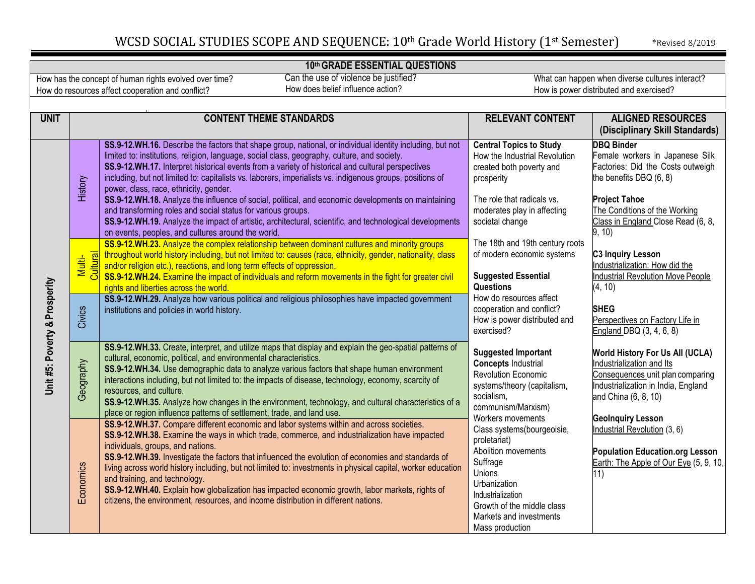#### **10th GRADE ESSENTIAL QUESTIONS**

How has the concept of human rights evolved over time? How do resources affect cooperation and conflict?

 Can the use of violence be justified? How does belief influence action?

| <b>UNIT</b>                   |                    | <b>CONTENT THEME STANDARDS</b>                                                                                                                                                                                                                                                                                                                                                                                                                                                                                                                                                                                                                                                                                                                                                                                 | <b>RELEVANT CONTENT</b>                                                                                                                                                                                                       | <b>ALIGNED RESOURCES</b><br>(Disciplinary Skill Standards)                                                                                                                                                                   |
|-------------------------------|--------------------|----------------------------------------------------------------------------------------------------------------------------------------------------------------------------------------------------------------------------------------------------------------------------------------------------------------------------------------------------------------------------------------------------------------------------------------------------------------------------------------------------------------------------------------------------------------------------------------------------------------------------------------------------------------------------------------------------------------------------------------------------------------------------------------------------------------|-------------------------------------------------------------------------------------------------------------------------------------------------------------------------------------------------------------------------------|------------------------------------------------------------------------------------------------------------------------------------------------------------------------------------------------------------------------------|
|                               | History            | SS.9-12.WH.16. Describe the factors that shape group, national, or individual identity including, but not<br>limited to: institutions, religion, language, social class, geography, culture, and society.<br>SS.9-12.WH.17. Interpret historical events from a variety of historical and cultural perspectives<br>including, but not limited to: capitalists vs. laborers, imperialists vs. indigenous groups, positions of<br>power, class, race, ethnicity, gender.<br>SS.9-12.WH.18. Analyze the influence of social, political, and economic developments on maintaining<br>and transforming roles and social status for various groups.<br>SS.9-12.WH.19. Analyze the impact of artistic, architectural, scientific, and technological developments<br>on events, peoples, and cultures around the world. | <b>Central Topics to Study</b><br>How the Industrial Revolution<br>created both poverty and<br>prosperity<br>The role that radicals vs.<br>moderates play in affecting<br>societal change                                     | <b>DBQ Binder</b><br>Female workers in Japanese Silk<br>Factories: Did the Costs outweigh<br>the benefits DBQ (6, 8)<br><b>Project Tahoe</b><br>The Conditions of the Working<br>Class in England Close Read (6, 8,<br>9, 10 |
| Unit #5: Poverty & Prosperity | Multi-<br>Cultural | SS.9-12.WH.23. Analyze the complex relationship between dominant cultures and minority groups<br>throughout world history including, but not limited to: causes (race, ethnicity, gender, nationality, class<br>and/or religion etc.), reactions, and long term effects of oppression.<br>SS.9-12.WH.24. Examine the impact of individuals and reform movements in the fight for greater civil<br>rights and liberties across the world.                                                                                                                                                                                                                                                                                                                                                                       | The 18th and 19th century roots<br>of modern economic systems<br><b>Suggested Essential</b><br>Questions                                                                                                                      | C3 Inquiry Lesson<br>Industrialization: How did the<br><b>Industrial Revolution Move People</b><br>(4, 10)                                                                                                                   |
|                               | Civics             | SS.9-12.WH.29. Analyze how various political and religious philosophies have impacted government<br>institutions and policies in world history.                                                                                                                                                                                                                                                                                                                                                                                                                                                                                                                                                                                                                                                                | How do resources affect<br>cooperation and conflict?<br>How is power distributed and<br>exercised?                                                                                                                            | <b>SHEG</b><br>Perspectives on Factory Life in<br>England DBQ (3, 4, 6, 8)                                                                                                                                                   |
|                               | Geography          | SS.9-12.WH.33. Create, interpret, and utilize maps that display and explain the geo-spatial patterns of<br>cultural, economic, political, and environmental characteristics.<br>SS.9-12.WH.34. Use demographic data to analyze various factors that shape human environment<br>interactions including, but not limited to: the impacts of disease, technology, economy, scarcity of<br>resources, and culture.<br>SS.9-12.WH.35. Analyze how changes in the environment, technology, and cultural characteristics of a<br>place or region influence patterns of settlement, trade, and land use.                                                                                                                                                                                                               | <b>Suggested Important</b><br><b>Concepts Industrial</b><br><b>Revolution Economic</b><br>systems/theory (capitalism,<br>socialism,<br>communism/Marxism)                                                                     | <b>World History For Us All (UCLA)</b><br>Industrialization and Its<br>Consequences unit plan comparing<br>Industrialization in India, England<br>and China (6, 8, 10)                                                       |
|                               | Economics          | SS.9-12.WH.37. Compare different economic and labor systems within and across societies.<br>SS.9-12.WH.38. Examine the ways in which trade, commerce, and industrialization have impacted<br>individuals, groups, and nations.<br>SS.9-12.WH.39. Investigate the factors that influenced the evolution of economies and standards of<br>living across world history including, but not limited to: investments in physical capital, worker education<br>and training, and technology.<br>SS.9-12.WH.40. Explain how globalization has impacted economic growth, labor markets, rights of<br>citizens, the environment, resources, and income distribution in different nations.                                                                                                                                | Workers movements<br>Class systems(bourgeoisie,<br>proletariat)<br>Abolition movements<br>Suffrage<br>Unions<br>Urbanization<br>Industrialization<br>Growth of the middle class<br>Markets and investments<br>Mass production | <b>GeoInquiry Lesson</b><br>Industrial Revolution (3, 6)<br><b>Population Education.org Lesson</b><br>Earth: The Apple of Our Eye (5, 9, 10,<br>11)                                                                          |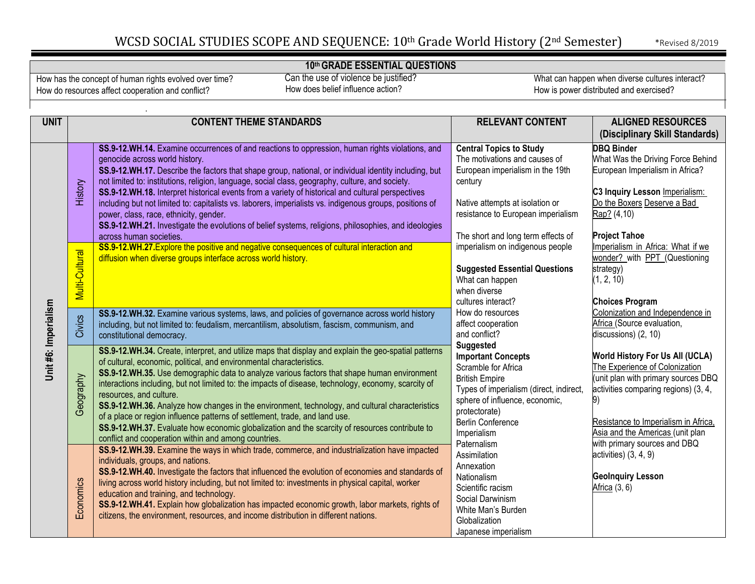#### **10th GRADE ESSENTIAL QUESTIONS**

How has the concept of human rights evolved over time? How do resources affect cooperation and conflict?

 Can the use of violence be justified? How does belief influence action?

| <b>UNIT</b>          |                | <b>CONTENT THEME STANDARDS</b>                                                                                                                                                                                                                                                                                                                                                                                                                                                                                                                                                                                                                                                                                                                             | <b>RELEVANT CONTENT</b>                                                                                                                                                                                                         | <b>ALIGNED RESOURCES</b>                                                                                                                                                                                                            |
|----------------------|----------------|------------------------------------------------------------------------------------------------------------------------------------------------------------------------------------------------------------------------------------------------------------------------------------------------------------------------------------------------------------------------------------------------------------------------------------------------------------------------------------------------------------------------------------------------------------------------------------------------------------------------------------------------------------------------------------------------------------------------------------------------------------|---------------------------------------------------------------------------------------------------------------------------------------------------------------------------------------------------------------------------------|-------------------------------------------------------------------------------------------------------------------------------------------------------------------------------------------------------------------------------------|
|                      |                |                                                                                                                                                                                                                                                                                                                                                                                                                                                                                                                                                                                                                                                                                                                                                            |                                                                                                                                                                                                                                 | (Disciplinary Skill Standards)                                                                                                                                                                                                      |
|                      | History        | SS.9-12.WH.14. Examine occurrences of and reactions to oppression, human rights violations, and<br>genocide across world history.<br>SS.9-12.WH.17. Describe the factors that shape group, national, or individual identity including, but<br>not limited to: institutions, religion, language, social class, geography, culture, and society.<br>SS.9-12.WH.18. Interpret historical events from a variety of historical and cultural perspectives<br>including but not limited to: capitalists vs. laborers, imperialists vs. indigenous groups, positions of<br>power, class, race, ethnicity, gender.<br>SS.9-12.WH.21. Investigate the evolutions of belief systems, religions, philosophies, and ideologies<br>across human societies.               | <b>Central Topics to Study</b><br>The motivations and causes of<br>European imperialism in the 19th<br>century<br>Native attempts at isolation or<br>resistance to European imperialism<br>The short and long term effects of   | <b>DBQ Binder</b><br>What Was the Driving Force Behind<br>European Imperialism in Africa?<br>C3 Inquiry Lesson Imperialism:<br>Do the Boxers Deserve a Bad<br>Rap? (4,10)<br><b>Project Tahoe</b>                                   |
|                      | Multi-Cultural | SS.9-12.WH.27. Explore the positive and negative consequences of cultural interaction and<br>diffusion when diverse groups interface across world history.                                                                                                                                                                                                                                                                                                                                                                                                                                                                                                                                                                                                 | imperialism on indigenous people<br><b>Suggested Essential Questions</b><br>What can happen<br>when diverse<br>cultures interact?                                                                                               | Imperialism in Africa: What if we<br>wonder? with PPT (Questioning<br>strategy)<br>(1, 2, 10)<br><b>Choices Program</b>                                                                                                             |
| Unit #6: Imperialism | Civics         | SS.9-12.WH.32. Examine various systems, laws, and policies of governance across world history<br>including, but not limited to: feudalism, mercantilism, absolutism, fascism, communism, and<br>constitutional democracy.                                                                                                                                                                                                                                                                                                                                                                                                                                                                                                                                  | How do resources<br>affect cooperation<br>and conflict?                                                                                                                                                                         | Colonization and Independence in<br>Africa (Source evaluation,<br>discussions) (2, 10)                                                                                                                                              |
|                      | Geography      | SS.9-12.WH.34. Create, interpret, and utilize maps that display and explain the geo-spatial patterns<br>of cultural, economic, political, and environmental characteristics.<br>SS.9-12.WH.35. Use demographic data to analyze various factors that shape human environment<br>interactions including, but not limited to: the impacts of disease, technology, economy, scarcity of<br>resources, and culture.<br>SS.9-12.WH.36. Analyze how changes in the environment, technology, and cultural characteristics<br>of a place or region influence patterns of settlement, trade, and land use.<br>SS.9-12.WH.37. Evaluate how economic globalization and the scarcity of resources contribute to<br>conflict and cooperation within and among countries. | Suggested<br><b>Important Concepts</b><br>Scramble for Africa<br><b>British Empire</b><br>Types of imperialism (direct, indirect,<br>sphere of influence, economic,<br>protectorate)<br><b>Berlin Conference</b><br>Imperialism | <b>World History For Us All (UCLA)</b><br>The Experience of Colonization<br>(unit plan with primary sources DBQ<br>activities comparing regions) (3, 4,<br>Resistance to Imperialism in Africa,<br>Asia and the Americas (unit plan |
|                      | Economics      | SS.9-12.WH.39. Examine the ways in which trade, commerce, and industrialization have impacted<br>individuals, groups, and nations.<br>SS.9-12.WH.40. Investigate the factors that influenced the evolution of economies and standards of<br>living across world history including, but not limited to: investments in physical capital, worker<br>education and training, and technology.<br>SS.9-12.WH.41. Explain how globalization has impacted economic growth, labor markets, rights of<br>citizens, the environment, resources, and income distribution in different nations.                                                                                                                                                                        | Paternalism<br>Assimilation<br>Annexation<br>Nationalism<br>Scientific racism<br>Social Darwinism<br>White Man's Burden<br>Globalization<br>Japanese imperialism                                                                | with primary sources and DBQ<br>$activities)$ $(3, 4, 9)$<br><b>GeoInquiry Lesson</b><br>Africa (3, 6)                                                                                                                              |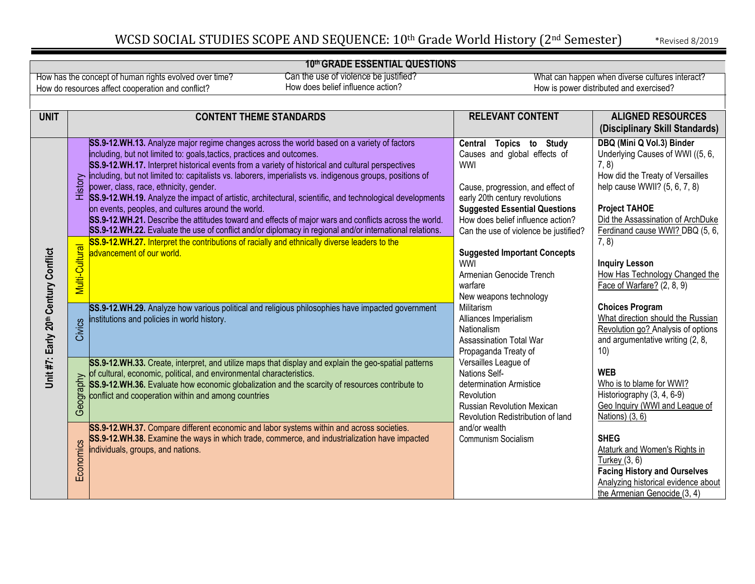#### **10th GRADE ESSENTIAL QUESTIONS** Can the use of violence be justified? How has the concept of human rights evolved over time? What can happen when diverse cultures interact? How does belief influence action? How do resources affect cooperation and conflict? How is power distributed and exercised? **UNIT CONTENT THEME STANDARDS RELEVANT CONTENT ALIGNED RESOURCES (Disciplinary Skill Standards) DBQ (Mini Q Vol.3) Binder SS.9-12.WH.13.** Analyze major regime changes across the world based on a variety of factors **Central Topics to Study**  Underlying Causes of WWI ((5, 6, including, but not limited to: goals,tactics, practices and outcomes. Causes and global effects of **SS.9-12.WH.17.** Interpret historical events from a variety of historical and cultural perspectives WWI 7, 8) How did the Treaty of Versailles History including, but not limited to: capitalists vs. laborers, imperialists vs. indigenous groups, positions of power, class, race, ethnicity, gender. Cause, progression, and effect of help cause WWII? (5, 6, 7, 8) **SS.9-12.WH.19.** Analyze the impact of artistic, architectural, scientific, and technological developments early 20th century revolutions on events, peoples, and cultures around the world. **Project TAHOE Suggested Essential Questions SS.9-12.WH.21.** Describe the attitudes toward and effects of major wars and conflicts across the world. How does belief influence action? [Did the Assassination of ArchDuke](http://projecttahoe.org/wp-content/uploads/2014/05/10DBQ-The-assassination-of-Archduke-Franz-Ferdinand-caused-WWI.doc) **SS.9-12.WH.22.** Evaluate the use of conflict and/or diplomacy in regional and/or international relations. Can the use of violence be justified? [Ferdinand cause WWI? D](http://projecttahoe.org/wp-content/uploads/2014/05/10DBQ-The-assassination-of-Archduke-Franz-Ferdinand-caused-WWI.doc)BQ (5, 6,  $\overline{7, 8}$ **SS.9-12.WH.27.** Interpret the contributions of racially and ethnically diverse leaders to the<br>advancement of our world.<br> $\frac{12}{5}$ <br> $\frac{12}{5}$ **Suggested Important Concepts** Unit #7: Early 20th Century Conflict **Unit #7: Early 20th Century Conflict** advancement of our world. WWI **Inquiry Lesson** [How Has Technology Changed the](https://www.dropbox.com/s/e9xnrz8apn3i4ny/Foster%20WWI%20Inquiry-Design-Model.docx?dl=0) Armenian Genocide Trench warfare [Face of Warfare?](https://www.dropbox.com/s/e9xnrz8apn3i4ny/Foster%20WWI%20Inquiry-Design-Model.docx?dl=0) (2, 8, 9) New weapons technology **Choices Program SS.9-12.WH.29.** Analyze how various political and religious philosophies have impacted government Militarism [What direction should the Russian](http://www.choices.edu/curriculum-unit/the-russian-revolution/) nstitutions and policies in world history. Alliances Imperialism Civics [Revolution go? A](http://www.choices.edu/curriculum-unit/the-russian-revolution/)nalysis of options Nationalism and argumentative writing (2, 8, Assassination Total War 10) Propaganda Treaty of **SS.9-12.WH.33.** Create, interpret, and utilize maps that display and explain the geo-spatial patterns Versailles League of **WEB** of cultural, economic, political, and environmental characteristics. Nations Self-Geography **SS.9-12.WH.36.** Evaluate how economic globalization and the scarcity of resources contribute to determination Armistice [Who is to blame for WWI?](https://moorhistory.weebly.com/causes-of-wwi-who-is-to-blame.html) Historiography (3, 4, 6-9) conflict and cooperation within and among countries **Revolution** [Geo Inquiry \(WWI and League of](https://www.dropbox.com/s/vthpjuqpc7pedgc/3_PostWWI_WorldHistory_GeoInquiry.pdf?dl=0) Russian Revolution Mexican [Nations\) \(3, 6\)](https://www.dropbox.com/s/vthpjuqpc7pedgc/3_PostWWI_WorldHistory_GeoInquiry.pdf?dl=0) Revolution Redistribution of land **SS.9-12.WH.37.** Compare different economic and labor systems within and across societies. and/or wealth Communism Socialism **SS.9-12.WH.38.** Examine the ways in which trade, commerce, and industrialization have impacted **SHEG** Economics Economics [Ataturk and Women's Rights in](https://sheg.stanford.edu/history-lessons/ataturk-and-womens-rights-turkey) individuals, groups, and nations.[Turkey \(3](https://sheg.stanford.edu/history-lessons/ataturk-and-womens-rights-turkey), 6) **Facing History and Ourselves** [Analyzing historical evidence about](https://www.facinghistory.org/resource-library/crimes-against-humanity-and-civilization-genocide-armenians/analyzing-historical-evidence) [the Armenian Genocide \(](https://www.facinghistory.org/resource-library/crimes-against-humanity-and-civilization-genocide-armenians/analyzing-historical-evidence)3, 4)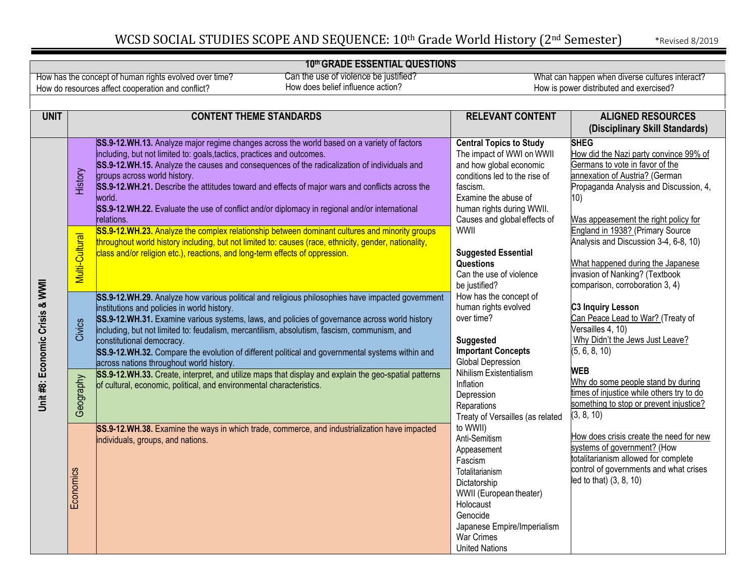#### **10th GRADE ESSENTIAL QUESTIONS**

How has the concept of human rights evolved over time? How do resources affect cooperation and conflict?

 Can the use of violence be justified? How does belief influence action?

| <b>UNIT</b>                     |                | <b>CONTENT THEME STANDARDS</b>                                                                                                                                                                                                                                                                                                                                                                                                                                                                                                  | <b>RELEVANT CONTENT</b><br><b>ALIGNED RESOURCES</b>                                                                                                                                                                      |                                                                                                                                                                                                                     |
|---------------------------------|----------------|---------------------------------------------------------------------------------------------------------------------------------------------------------------------------------------------------------------------------------------------------------------------------------------------------------------------------------------------------------------------------------------------------------------------------------------------------------------------------------------------------------------------------------|--------------------------------------------------------------------------------------------------------------------------------------------------------------------------------------------------------------------------|---------------------------------------------------------------------------------------------------------------------------------------------------------------------------------------------------------------------|
|                                 |                |                                                                                                                                                                                                                                                                                                                                                                                                                                                                                                                                 |                                                                                                                                                                                                                          | (Disciplinary Skill Standards)                                                                                                                                                                                      |
|                                 | History        | SS.9-12.WH.13. Analyze major regime changes across the world based on a variety of factors<br>including, but not limited to: goals, tactics, practices and outcomes.<br>SS.9-12.WH.15. Analyze the causes and consequences of the radicalization of individuals and<br>groups across world history.<br>SS.9-12.WH.21. Describe the attitudes toward and effects of major wars and conflicts across the<br>world.<br>SS.9-12.WH.22. Evaluate the use of conflict and/or diplomacy in regional and/or international<br>relations. | <b>Central Topics to Study</b><br>The impact of WWI on WWII<br>and how global economic<br>conditions led to the rise of<br>fascism.<br>Examine the abuse of<br>human rights during WWII.<br>Causes and global effects of | <b>SHEG</b><br>How did the Nazi party convince 99% of<br>Germans to vote in favor of the<br>annexation of Austria? (German<br>Propaganda Analysis and Discussion, 4,<br>10)<br>Was appeasement the right policy for |
|                                 | Multi-Cultural | SS.9-12.WH.23. Analyze the complex relationship between dominant cultures and minority groups<br>throughout world history including, but not limited to: causes (race, ethnicity, gender, nationality,<br>class and/or religion etc.), reactions, and long-term effects of oppression.                                                                                                                                                                                                                                          | WWII<br><b>Suggested Essential</b><br>Questions<br>Can the use of violence<br>be justified?                                                                                                                              | England in 1938? (Primary Source<br>Analysis and Discussion 3-4, 6-8, 10)<br>What happened during the Japanese<br>invasion of Nanking? (Textbook<br>comparison, corroboration 3, 4)                                 |
| Unit #8: Economic Crisis & WWII | Civics         | SS.9-12.WH.29. Analyze how various political and religious philosophies have impacted government<br>institutions and policies in world history.<br>SS.9-12.WH.31. Examine various systems, laws, and policies of governance across world history<br>including, but not limited to: feudalism, mercantilism, absolutism, fascism, communism, and<br>constitutional democracy.<br>SS.9-12.WH.32. Compare the evolution of different political and governmental systems within and<br>across nations throughout world history.     | How has the concept of<br>human rights evolved<br>over time?<br><b>Suggested</b><br><b>Important Concepts</b><br>Global Depression                                                                                       | C3 Inquiry Lesson<br>Can Peace Lead to War? (Treaty of<br>Versailles 4, 10)<br>Why Didn't the Jews Just Leave?<br>(5, 6, 8, 10)                                                                                     |
|                                 | Geography      | SS.9-12.WH.33. Create, interpret, and utilize maps that display and explain the geo-spatial patterns<br>of cultural, economic, political, and environmental characteristics.                                                                                                                                                                                                                                                                                                                                                    | Nihilism Existentialism<br>Inflation<br>Depression<br>Reparations<br>Treaty of Versailles (as related                                                                                                                    | <b>WEB</b><br>Why do some people stand by during<br>times of injustice while others try to do<br>something to stop or prevent injustice?<br>(3, 8, 10)                                                              |
|                                 | Economics      | SS.9-12.WH.38. Examine the ways in which trade, commerce, and industrialization have impacted<br>individuals, groups, and nations.                                                                                                                                                                                                                                                                                                                                                                                              | to WWII)<br>Anti-Semitism<br>Appeasement<br>Fascism<br>Totalitarianism<br>Dictatorship<br>WWII (European theater)<br>Holocaust<br>Genocide<br>Japanese Empire/Imperialism<br><b>War Crimes</b><br><b>United Nations</b>  | How does crisis create the need for new<br>systems of government? (How<br>totalitarianism allowed for complete<br>control of governments and what crises<br>led to that) (3, 8, 10)                                 |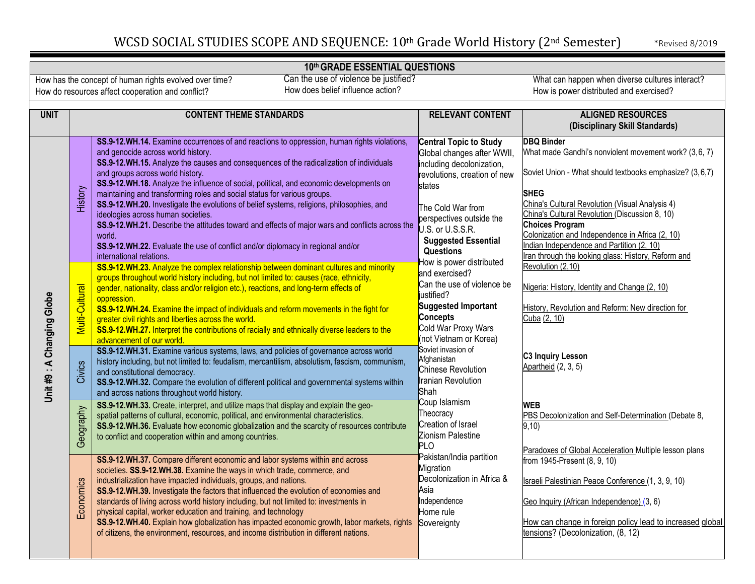### **10th GRADE ESSENTIAL QUESTIONS**

How has the concept of human rights evolved over time? How do resources affect cooperation and conflict?

 Can the use of violence be justified? How does belief influence action?

| <b>UNIT</b>                | <b>CONTENT THEME STANDARDS</b> |                                                                                                                                                                                                                                                                                                                                                                                                                                                                                                                                                                                                                                                                                                                                                                                                                                                                                                  | <b>RELEVANT CONTENT</b>                                                                                                                                                                                                                                                 | <b>ALIGNED RESOURCES</b>                                                                                                                                                                                                                                                                                                                                                                                                                                        |
|----------------------------|--------------------------------|--------------------------------------------------------------------------------------------------------------------------------------------------------------------------------------------------------------------------------------------------------------------------------------------------------------------------------------------------------------------------------------------------------------------------------------------------------------------------------------------------------------------------------------------------------------------------------------------------------------------------------------------------------------------------------------------------------------------------------------------------------------------------------------------------------------------------------------------------------------------------------------------------|-------------------------------------------------------------------------------------------------------------------------------------------------------------------------------------------------------------------------------------------------------------------------|-----------------------------------------------------------------------------------------------------------------------------------------------------------------------------------------------------------------------------------------------------------------------------------------------------------------------------------------------------------------------------------------------------------------------------------------------------------------|
|                            |                                |                                                                                                                                                                                                                                                                                                                                                                                                                                                                                                                                                                                                                                                                                                                                                                                                                                                                                                  |                                                                                                                                                                                                                                                                         | (Disciplinary Skill Standards)                                                                                                                                                                                                                                                                                                                                                                                                                                  |
|                            | History                        | SS.9-12.WH.14. Examine occurrences of and reactions to oppression, human rights violations,<br>and genocide across world history.<br>SS.9-12.WH.15. Analyze the causes and consequences of the radicalization of individuals<br>and groups across world history.<br>SS.9-12.WH.18. Analyze the influence of social, political, and economic developments on<br>maintaining and transforming roles and social status for various groups.<br>SS.9-12.WH.20. Investigate the evolutions of belief systems, religions, philosophies, and<br>ideologies across human societies.<br>SS.9-12.WH.21. Describe the attitudes toward and effects of major wars and conflicts across the<br>world.<br>SS.9-12.WH.22. Evaluate the use of conflict and/or diplomacy in regional and/or<br>international relations.<br>SS.9-12.WH.23. Analyze the complex relationship between dominant cultures and minority | Central Topic to Study<br>Global changes after WWII,<br>including decolonization,<br>revolutions, creation of new<br>states<br>The Cold War from<br>perspectives outside the<br>U.S. or U.S.S.R.<br><b>Suggested Essential</b><br>Questions<br>How is power distributed | <b>DBQ Binder</b><br>What made Gandhi's nonviolent movement work? (3,6, 7)<br>Soviet Union - What should textbooks emphasize? (3,6,7)<br><b>SHEG</b><br>China's Cultural Revolution (Visual Analysis 4)<br>China's Cultural Revolution (Discussion 8, 10)<br><b>Choices Program</b><br>Colonization and Independence in Africa (2, 10)<br>Indian Independence and Partition (2, 10)<br>Iran through the looking glass: History, Reform and<br>Revolution (2,10) |
| Unit #9 : A Changing Globe | Multi-Cultural<br>Civics       | groups throughout world history including, but not limited to: causes (race, ethnicity,<br>gender, nationality, class and/or religion etc.), reactions, and long-term effects of<br>oppression.<br>SS.9-12.WH.24. Examine the impact of individuals and reform movements in the fight for<br>greater civil rights and liberties across the world.<br>SS.9-12.WH.27. Interpret the contributions of racially and ethnically diverse leaders to the<br>advancement of our world.<br>SS.9-12.WH.31. Examine various systems, laws, and policies of governance across world<br>history including, but not limited to: feudalism, mercantilism, absolutism, fascism, communism,<br>and constitutional democracy.<br>SS.9-12.WH.32. Compare the evolution of different political and governmental systems within                                                                                       | and exercised?<br>Can the use of violence be<br>justified?<br>Suggested Important<br><b>Concepts</b><br>Cold War Proxy Wars<br>(not Vietnam or Korea)<br>Soviet invasion of<br>Afghanistan<br>Chinese Revolution<br><b>Iranian Revolution</b>                           | Nigeria: History, Identity and Change (2, 10)<br>History, Revolution and Reform: New direction for<br>Cuba (2, 10)<br><b>C3 Inquiry Lesson</b><br>Apartheid (2, 3, 5)                                                                                                                                                                                                                                                                                           |
|                            | Geography                      | and across nations throughout world history.<br>SS.9-12.WH.33. Create, interpret, and utilize maps that display and explain the geo-<br>spatial patterns of cultural, economic, political, and environmental characteristics.<br>SS.9-12.WH.36. Evaluate how economic globalization and the scarcity of resources contribute<br>to conflict and cooperation within and among countries.                                                                                                                                                                                                                                                                                                                                                                                                                                                                                                          | Shah<br>Coup Islamism<br>Theocracy<br>Creation of Israel<br>Zionism Palestine<br><b>PLO</b>                                                                                                                                                                             | <b>WEB</b><br>PBS Decolonization and Self-Determination (Debate 8,<br>9,10)<br>Paradoxes of Global Acceleration Multiple lesson plans                                                                                                                                                                                                                                                                                                                           |
|                            | Economics                      | SS.9-12.WH.37. Compare different economic and labor systems within and across<br>societies. SS.9-12.WH.38. Examine the ways in which trade, commerce, and<br>industrialization have impacted individuals, groups, and nations.<br>SS.9-12.WH.39. Investigate the factors that influenced the evolution of economies and<br>standards of living across world history including, but not limited to: investments in<br>physical capital, worker education and training, and technology<br>SS.9-12.WH.40. Explain how globalization has impacted economic growth, labor markets, rights<br>of citizens, the environment, resources, and income distribution in different nations.                                                                                                                                                                                                                   | Pakistan/India partition<br>Migration<br>Decolonization in Africa &<br>Asia<br>Independence<br>Home rule<br>Sovereignty                                                                                                                                                 | from 1945-Present (8, 9, 10)<br>Israeli Palestinian Peace Conference (1, 3, 9, 10)<br>Geo Inquiry (African Independence) (3, 6)<br>How can change in foreign policy lead to increased global<br>tensions? (Decolonization, (8, 12)                                                                                                                                                                                                                              |